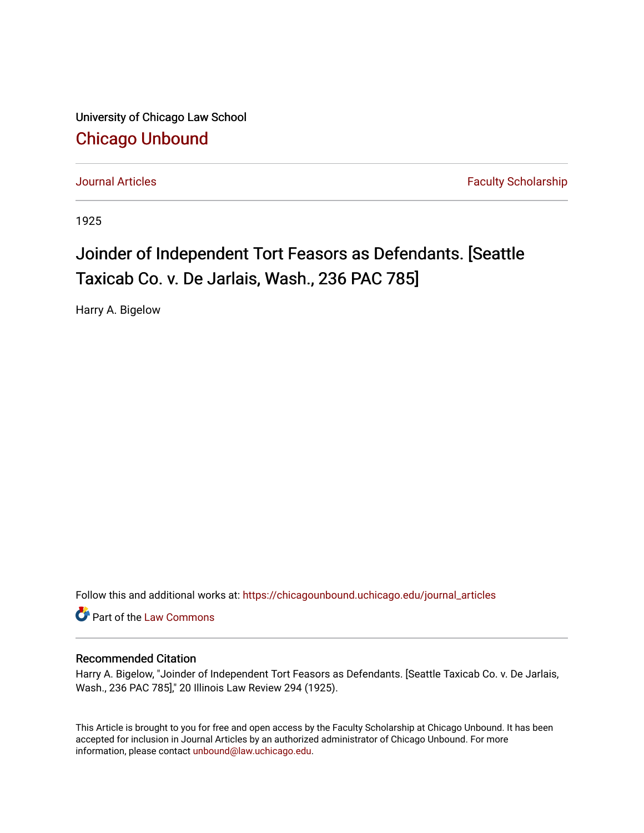University of Chicago Law School [Chicago Unbound](https://chicagounbound.uchicago.edu/)

[Journal Articles](https://chicagounbound.uchicago.edu/journal_articles) **Faculty Scholarship Journal Articles** 

1925

## Joinder of Independent Tort Feasors as Defendants. [Seattle Taxicab Co. v. De Jarlais, Wash., 236 PAC 785]

Harry A. Bigelow

Follow this and additional works at: [https://chicagounbound.uchicago.edu/journal\\_articles](https://chicagounbound.uchicago.edu/journal_articles?utm_source=chicagounbound.uchicago.edu%2Fjournal_articles%2F7560&utm_medium=PDF&utm_campaign=PDFCoverPages) 

Part of the [Law Commons](http://network.bepress.com/hgg/discipline/578?utm_source=chicagounbound.uchicago.edu%2Fjournal_articles%2F7560&utm_medium=PDF&utm_campaign=PDFCoverPages)

## Recommended Citation

Harry A. Bigelow, "Joinder of Independent Tort Feasors as Defendants. [Seattle Taxicab Co. v. De Jarlais, Wash., 236 PAC 785]," 20 Illinois Law Review 294 (1925).

This Article is brought to you for free and open access by the Faculty Scholarship at Chicago Unbound. It has been accepted for inclusion in Journal Articles by an authorized administrator of Chicago Unbound. For more information, please contact [unbound@law.uchicago.edu](mailto:unbound@law.uchicago.edu).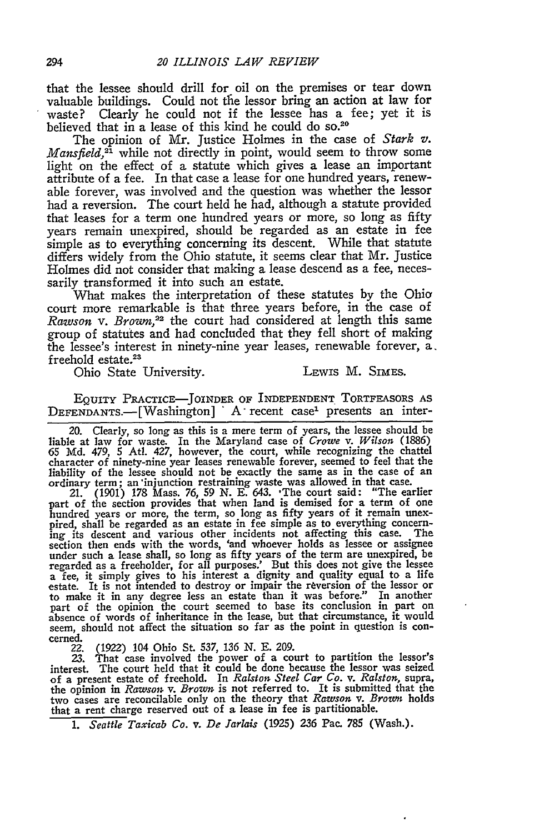that the lessee should drill for oil on the premises or tear down valuable buildings. Could not the lessor bring an action at law for waste? Clearly he could not if the lessee has a fee; yet it is believed that in a lease of this kind he could do so.<sup>20</sup>

The opinion of Mr. Justice Holmes in the case of *Stark v. Mansfield*,<sup>21</sup> while not directly in point, would seem to throw some light on the effect of a statute which gives a lease an important attribute of a fee. In that case a lease for one hundred years, renewable forever, was involved and the question was whether the lessor **had** a reversion. The court held he had, although a statute provided that leases for a term one hundred years or more, so long as fifty years remain unexpired, should be regarded as an estate in fee simple as to everything concerning its descent. While that statute differs widely from the Ohio statute, it seems clear that Mr. Justice Holmes did not consider that making a lease descend as a fee, necessarily transformed it into such an estate.

What makes the interpretation of these statutes **by** the Ohio court more remarkable is that three years before, in the case of *Rawson v. Brown,2 <sup>2</sup>*the court **had** considered at length this same group of statutes and had concluded that they fell short of making the lessee's interest in ninety-nine year leases, renewable forever, a. freehold estate.<sup>23</sup>

Ohio State University. LEWIS M. SIMES.

**EQUITY** PRACTICE-JOINDER OF INDEPENDENT ToRTFEASORS **AS DEFENDANTS.-** [Washington] *"* **A-** recent case' presents an inter-

20. Clearly, so long as this is a mere term of years, the lessee should be liable at law for waste. In the Maryland case of *Crowe v. Wilson* **(1886) 65 Md.** 479, **5** Atl. 427, however, the court, while recognizing the chattel character of ninety-nine year leases renewable forever, seemed to feel that the liability of the lessee should not be exactly the same as in the case of an ordinary term; an injunction restraining waste was allowed in that case.<br>21. (1901) 178 Mass. 76, 59 N. E. 643. 'The court said: "The earlier<br>part

hundred years or more, the term, so long as fifty years of it remain unex-pired, shall be regarded as an estate in fee simple as to everything concerning its descent and various other incidents not affecting this case. The excribin then ends with the words, 'and whoever holds as lessee or assigned<br>under such a lease shall, so long as fifty years of the term are unexpired, be<br>regarded as a freeholder, for all purposes.' But this does not give a fee, it simply gives to his interest a dignity and quality equal to a life<br>estate. It is not intended to destroy or impair the reversion of the lessor or<br>to make it in any degree less an estate than it was before." In an part of the opinion the court seemed to base its conclusion in part on absence of words of inheritance in the lease, but that circumstance, it would seem, should not affect the situation so far as the point in question is concerned.

22. **(1922)** 104 Ohio St. **537,** *136* **N. E. 209.**

**23.** That case involved the power of a court to partition the lessor's interest. The court held that it could **be** done because the lessor was seized of a present estate of freehold. In *Ralston Steel Car Co. v. Ralston,* supra, the opinion in *Rawson v. Brown* is not referred to. It is submitted that the two cases are reconcilable only on the theory that *Rawson v. Brown* holds that a rent charge reserved out of a lease in fee is partitionable.

*1. Seattle Taxicab Co. v. De Jarlais* **(1925) 236** Pac. **785** (Wash.).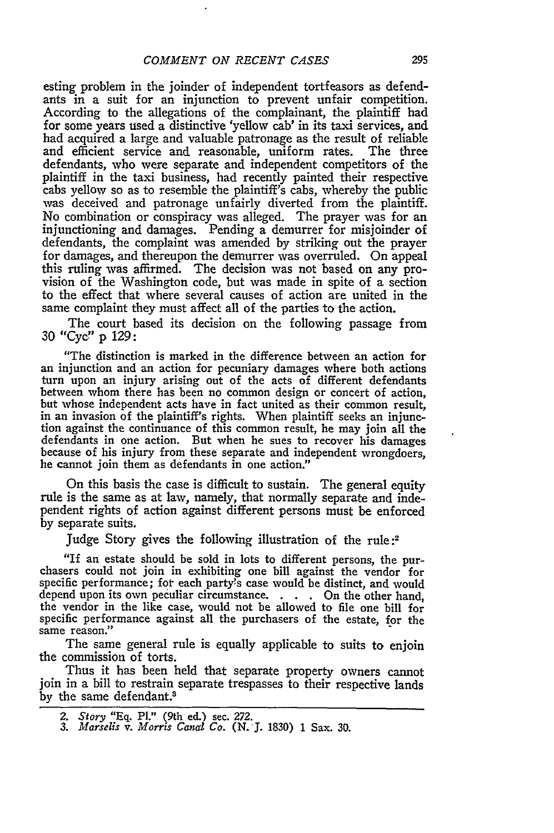esting problem in the joinder of independent tortfeasors as defendants in a suit for an injunction to prevent unfair competition. According to the allegations of the complainant, the plaintiff had for some years used a distinctive 'yellow cab' in its taxi services, and had acquired a large and valuable patronage as the result of reliable and efficient service and reasonable, uniform rates. The three defendants, who were separate and independent competitors of the plaintiff in the taxi business, had recently painted their respective cabs yellow so as to resemble the plaintiff's cabs, whereby the public was deceived and patronage unfairly diverted from the plaintiff. No combination or conspiracy was alleged. The prayer was for an injunctioning and damages. Pending a demurrer for misjoinder of defendants, the complaint was amended by striking out the prayer for damages, and thereupon the demurrer was overruled. On appeal this ruling was affirmed. The decision was not based on any provision of the Washington code, but was made in spite of a section to the effect that where several causes of action are united in the same complaint they must affect all of the parties to the action.

The court based its decision on the following passage from 30 "Cyc!' p 129:

"The distinction is marked in the difference between an action for an injunction and an action for pecuniary damages where both actions turn upon an injury arising out of the acts of different defendants between whom there has been no common design or concert of action, but whose independent acts have in fact united as their common result, in an invasion of the plaintiff's rights. When plaintiff seeks an injunc- tion against the continuance of this common result, he may join all the defendants in one action. But when he sues to recover his damages because of his injury from these separate and independent wrongdoers, he cannot join them as defendants in one action."

On this basis the case is difficult to sustain. The general equity rule is the same as at law, namely, that normally separate and independent rights of action against different persons must be enforced by separate suits.

Judge Story gives the following illustration of the rule **:2**

"If an estate should be sold in lots to different persons, the pur- chasers could not join in exhibiting one bill against the vendor for specific performance; fot each party's case would be distinct, and would depend upon its own peculiar circumstance. . **.** . On the other hand, the vendor in the like case, would not be allowed to file one bill for specific performance against all the purchasers of the estate, for the same reason."

The same general rule is equally applicable to suits to enjoin the commission of torts.

Thus it has been held that separate property owners cannot join in a bill to restrain separate trespasses to their respective lands by the same defendant.<sup>3</sup>

*<sup>2.</sup> Story* **"Eq.** PI." (9th ed.) sec. **272.** *3. Marselis v. Morris Cancd Co.* **(N.J.** 1830) 1 Sax. **30.**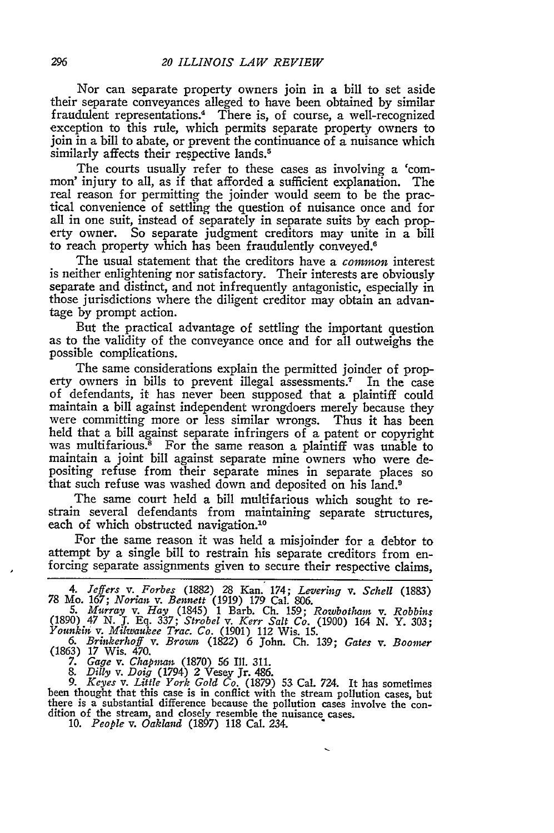Nor can separate property owners join in a bill to set aside their separate conveyances alleged to have been obtained **by** similar fraudulent representations.4 There is, of course, a well-recognized exception to this rule, which permits separate property owners to join in a bill to abate, or prevent the continuance of a nuisance which similarly affects their respective lands.<sup>5</sup>

The courts usually refer to these cases as involving a 'common' injury to all, as if that afforded a sufficient explanation. The real reason for permitting the joinder would seem to be the prac- tical convenience of settling the question of nuisance once and for all in one suit, instead of separately in separate suits **by** each property owner. So separate judgment creditors may unite in a bill to reach property which has been fraudulently conveyed.<sup>6</sup>

The usual statement that the creditors have a *common* interest is neither enlightening nor satisfactory. Their interests are obviously separate and distinct, and not infrequently antagonistic, especially in those jurisdictions where the diligent creditor may obtain an advantage **by** prompt action.

But the practical advantage of settling the important question as to the validity of the conveyance once and for all outweighs the possible complications.

The same considerations explain the permitted joinder of property owners in bills to prevent illegal assessments.7 In the case of defendants, it has never been supposed that a plaintiff could maintain a bill against independent wrongdoers merely because they were committing more or less similar wrongs. Thus it has been held that a bill against separate infringers of a patent or copyright **was** multifarious." For the same reason a plaintiff was unable to maintain a joint bill against separate mine owners who were depositing refuse from their separate mines in separate places so that such refuse was washed down and deposited on his land.9

The same court held a bill multifarious which sought to restrain several defendants from maintaining separate structures, each of which obstructed navigation.10

For the same reason it was held a misjoinder for a debtor to attempt **by** a single bill to restrain his separate creditors from enforcing separate assignments given to secure their respective claims,

*6. Brinkerhoff v. Brom* (1822) 6 John. **Ch.** 139; *Gates v. Boomer* (1863) 17 Wis. 470.

*7. Gage v. Chapman* (1870) **56** Ill. 311. *8. Dilly v. Doig* (1794) 2 Vesey Jr. 486.

*9. Keyes v. Little York Gold Co.* (1879) 53 Cal. 724. It has sometimes been thought that this case is in conflict with the stream pollution cases, but there is a substantial difference because the pollution cases involve the con- dition of the stream, and closely resemble the nuisance cases.

**10.** *People v. Oakland* (1897) 118 Cal. 234.

*<sup>4.</sup> Jeffers v. Forbes* (1882) 28 Kan. 174; *Levering v. Schell* (1883) 78 Mo. 167; *Norian v. Bennett* (1919) 179 Cal. 806.

*<sup>5.</sup> Murray v. Hay* (1845) 1 Barb. **Ch.** 159; *Rowbotham v. Robbins* (1890) 47 N. **J. Eq.** 337; *Strobel v. Kerr Salt Co.* (1900) 164 *N.* Y. 303; *Younkiin v. Milwaukee Trac. Co.* (1901) 112 Wis. 15.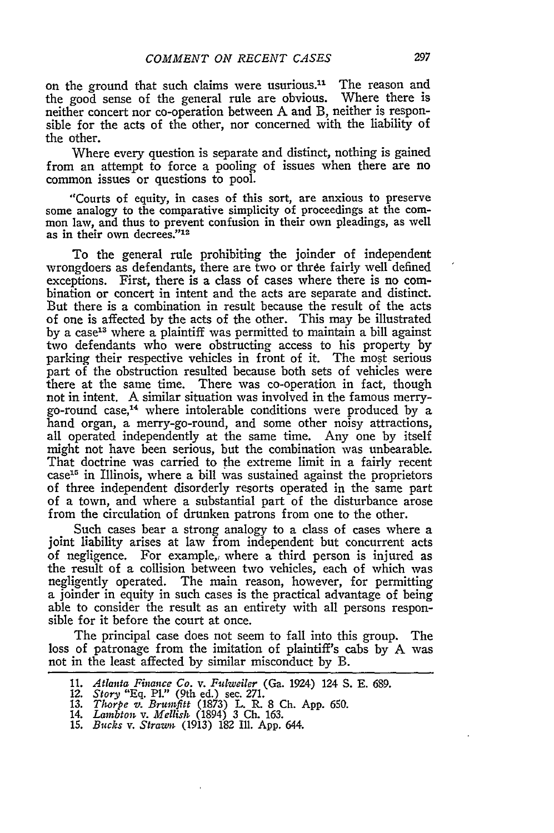on the ground that such claims were usurious.<sup>11</sup> The reason and the good sense of the general rule are obvious. Where there is neither concert nor co-operation between **A** and B, neither is responsible for the acts of the other, nor concerned with the liability of the other.

Where every question is separate and distinct, nothing is gained from an attempt to force a pooling of issues when there are no common issues or questions to pool.

"Courts of equity, in cases of this sort, are anxious to preserve some analogy to the comparative simplicity of proceedings at the common law, and thus to prevent confusion in their own pleadings, as well as in their own decrees."<sup>12</sup>

To the general rule prohibiting the joinder of independent wrongdoers as defendants, there are two or three fairly well defined exceptions. First, there is a class of cases where there is no combination or concert in intent and the acts are separate and distinct. But there is a combination in result because the result of the acts of one is affected by the acts of the other. This may be illustrated by a case<sup>13</sup> where a plaintiff was permitted to maintain a bill against two defendants who were obstructing access to his property by parking their respective vehicles in front of it. The most serious part of the obstruction resulted because both sets of vehicles were there at the same time. There was co-operation in fact, though not in intent. A similar situation was involved in the famous merrygo-round case,14 where intolerable conditions were produced by a hand organ, a merry-go-round, and some other noisy attractions, all operated independently at the same time. Any one by itself might not have been serious, but the combination was unbearable. That doctrine was carried to the extreme limit in a fairly recent  $case<sup>15</sup>$  in Illinois, where a bill was sustained against the proprietors of three independent disorderly resorts operated in the same part of a town, and where a substantial part of the disturbance arose from the circulation of drunken patrons from one to the other.

Such cases bear a strong analogy to a class of cases where a joint liability arises at law from independent but concurrent acts of negligence. For example, where a third person is injured as the result of a collision between two vehicles, each of which was negligently operated. The main reason, however, for permitting a joinder in equity in such cases is the practical advantage of being able to consider the result as an entirety with all persons responsible for it before the court at once.

The principal case does not seem to fall into this group. The loss of patronage from the imitation of plaintiff's cabs by **A** was not in the least affected by similar misconduct by B.

<sup>11.</sup> *Atlanta Finance Co. v. Fuiweiler* (Ga. 1924) 124 S. E. 689.

<sup>12.</sup> *Story* "Eq. P1." (9th ed.) sec. *271.*

**<sup>13.</sup>** *Thorpe v. Brumfitt* (1873) L. R. 8 Ch. App. 650.<br>14. *Lambton v. Mellish* (1894) 3 Ch. 163.<br>15. *Bucks v. Strawn* (1913) 182 Ill. App. 644.